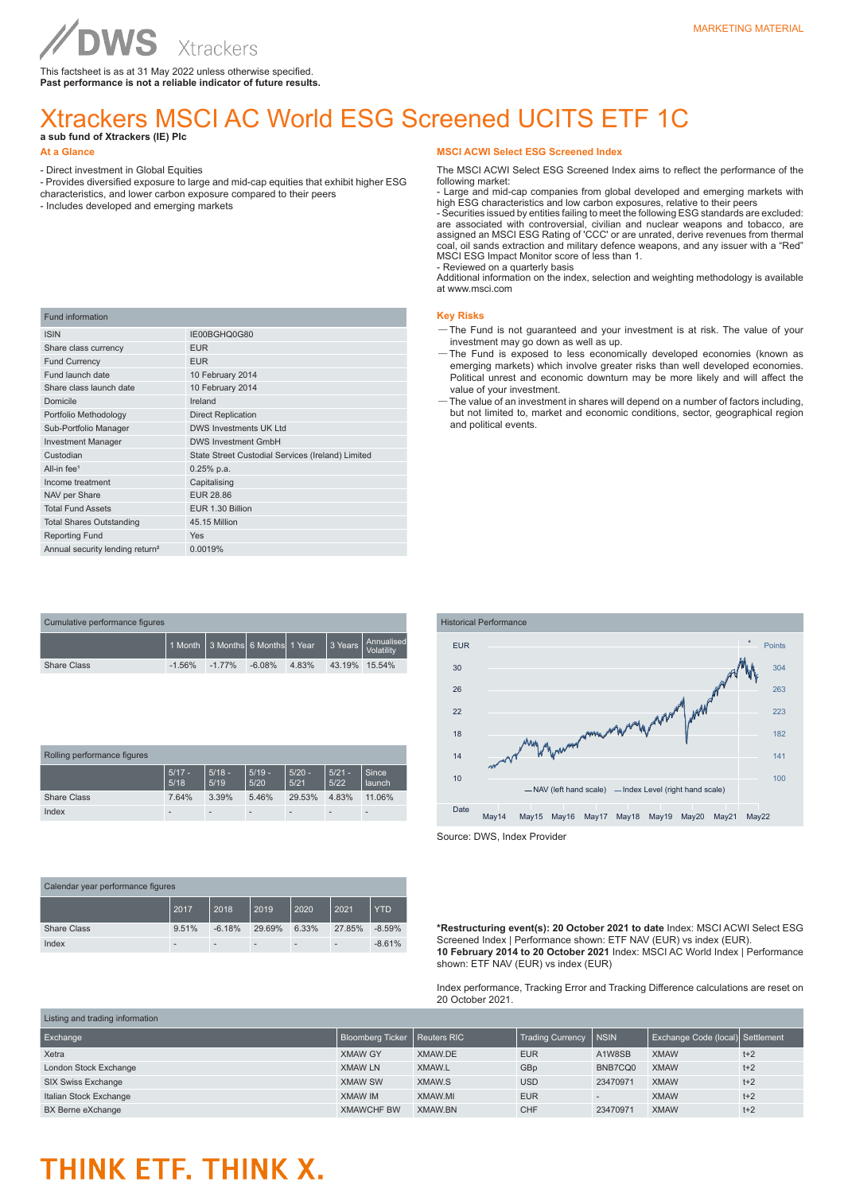This factsheet is as at 31 May 2022 unless otherwise specified. **Past performance is not a reliable indicator of future results.**

#### Xtrackers MSCI AC World ESG Screened UCITS ETF 1C **a sub fund of Xtrackers (IE) Plc**

- Direct investment in Global Equities
- Provides diversified exposure to large and mid-cap equities that exhibit higher ESG
- characteristics, and lower carbon exposure compared to their peers
- Includes developed and emerging markets

WS

| <b>Fund information</b>                     |                                                   |
|---------------------------------------------|---------------------------------------------------|
| <b>ISIN</b>                                 | IE00BGHQ0G80                                      |
| Share class currency                        | <b>EUR</b>                                        |
| <b>Fund Currency</b>                        | <b>EUR</b>                                        |
| Fund launch date                            | 10 February 2014                                  |
| Share class launch date                     | 10 February 2014                                  |
| Domicile                                    | Ireland                                           |
| Portfolio Methodology                       | <b>Direct Replication</b>                         |
| Sub-Portfolio Manager                       | <b>DWS Investments UK Ltd</b>                     |
| <b>Investment Manager</b>                   | <b>DWS Investment GmbH</b>                        |
| Custodian                                   | State Street Custodial Services (Ireland) Limited |
| All-in fee <sup>1</sup>                     | $0.25%$ p.a.                                      |
| Income treatment                            | Capitalising                                      |
| NAV per Share                               | EUR 28.86                                         |
| <b>Total Fund Assets</b>                    | EUR 1.30 Billion                                  |
| <b>Total Shares Outstanding</b>             | 45.15 Million                                     |
| <b>Reporting Fund</b>                       | Yes                                               |
| Annual security lending return <sup>2</sup> | 0.0019%                                           |

| Cumulative performance figures |                                  |           |          |       |               |                                                                    |  |
|--------------------------------|----------------------------------|-----------|----------|-------|---------------|--------------------------------------------------------------------|--|
|                                | 1 Month 3 Months 6 Months 1 Year |           |          |       |               | $\frac{1}{3}$ Years $\frac{1}{3}$ X Years $\frac{1}{3}$ Volatility |  |
| <b>Share Class</b>             | $-1.56%$                         | $-1.77\%$ | $-6.08%$ | 4.83% | 43.19% 15.54% |                                                                    |  |

| Rolling performance figures |                  |                          |                  |                  |                          |                 |
|-----------------------------|------------------|--------------------------|------------------|------------------|--------------------------|-----------------|
|                             | $5/17 -$<br>5/18 | $5/18 -$<br>5/19         | $5/19 -$<br>5/20 | $5/20 -$<br>5/21 | $5/21 -$<br>5/22         | Since<br>launch |
| <b>Share Class</b>          | 7.64%            | 3.39%                    | 5.46%            | 29.53%           | 4.83%                    | 11.06%          |
| Index                       |                  | $\overline{\phantom{a}}$ |                  |                  | $\overline{\phantom{a}}$ |                 |

| Calendar year performance figures |       |          |        |                          |                          |          |
|-----------------------------------|-------|----------|--------|--------------------------|--------------------------|----------|
|                                   | 2017  | 2018     | 2019   | 2020                     | 2021                     | YTD.     |
| <b>Share Class</b>                | 9.51% | $-6.18%$ | 29.69% | 6.33%                    | 27.85%                   | $-8.59%$ |
| Index                             | -     |          |        | $\overline{\phantom{a}}$ | $\overline{\phantom{a}}$ | $-8.61%$ |

#### **MSCI ACWI Select ESG Screened Index**

The MSCI ACWI Select ESG Screened Index aims to reflect the performance of the following market:

- Large and mid-cap companies from global developed and emerging markets with high ESG characteristics and low carbon exposures, relative to their peers

- Securities issued by entities failing to meet the following ESG standards are excluded: are associated with controversial, civilian and nuclear weapons and tobacco, are assigned an MSCI ESG Rating of 'CCC' or are unrated, derive revenues from thermal coal, oil sands extraction and military defence weapons, and any issuer with a "Red" MSCI ESG Impact Monitor score of less than 1. - Reviewed on a quarterly basis

Additional information on the index, selection and weighting methodology is available at www.msci.com

#### **Key Risks**

- —The Fund is not guaranteed and your investment is at risk. The value of your investment may go down as well as up.
- —The Fund is exposed to less economically developed economies (known as emerging markets) which involve greater risks than well developed economies. Political unrest and economic downturn may be more likely and will affect the value of your investment.
- —The value of an investment in shares will depend on a number of factors including, but not limited to, market and economic conditions, sector, geographical region and political events.



Source: DWS, Index Provider

**\*Restructuring event(s): 20 October 2021 to date** Index: MSCI ACWI Select ESG Screened Index | Performance shown: ETF NAV (EUR) vs index (EUR). **10 February 2014 to 20 October 2021** Index: MSCI AC World Index | Performance shown: ETF NAV (EUR) vs index (EUR)

Index performance, Tracking Error and Tracking Difference calculations are reset on 20 October 2021.

| Listing and trading information |                                       |                |                         |              |                                  |       |  |
|---------------------------------|---------------------------------------|----------------|-------------------------|--------------|----------------------------------|-------|--|
| Exchange                        | <b>Bloomberg Ticker   Reuters RIC</b> |                | <b>Trading Currency</b> | <b>INSIN</b> | Exchange Code (local) Settlement |       |  |
| Xetra                           | <b>XMAW GY</b>                        | XMAW.DE        | <b>EUR</b>              | A1W8SB       | <b>XMAW</b>                      | $t+2$ |  |
| London Stock Exchange           | <b>XMAW LN</b>                        | XMAW.L         | GBp                     | BNB7CQ0      | <b>XMAW</b>                      | $t+2$ |  |
| SIX Swiss Exchange              | <b>XMAW SW</b>                        | XMAW.S         | <b>USD</b>              | 23470971     | <b>XMAW</b>                      | $t+2$ |  |
| Italian Stock Exchange          | <b>XMAW IM</b>                        | XMAW.MI        | <b>EUR</b>              |              | <b>XMAW</b>                      | $t+2$ |  |
| BX Berne eXchange               | <b>XMAWCHF BW</b>                     | <b>XMAW.BN</b> | <b>CHF</b>              | 23470971     | <b>XMAW</b>                      | $t+2$ |  |

### THINK ETF. THINK X.

**At a Glance**